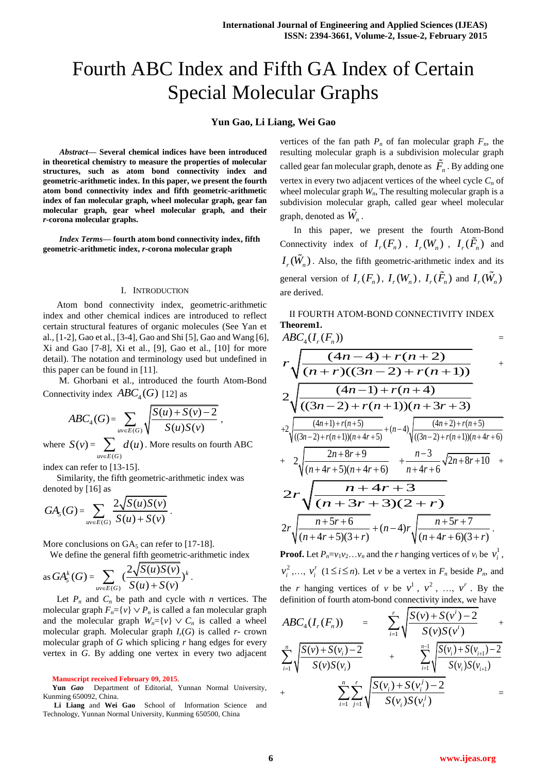# Fourth ABC Index and Fifth GA Index of Certain Special Molecular Graphs

## **Yun Gao, Li Liang, Wei Gao**

*Abstract***— Several chemical indices have been introduced in theoretical chemistry to measure the properties of molecular structures, such as atom bond connectivity index and geometric-arithmetic index. In this paper, we present the fourth atom bond connectivity index and fifth geometric-arithmetic index of fan molecular graph, wheel molecular graph, gear fan molecular graph, gear wheel molecular graph, and their**  *r***-corona molecular graphs.**

*Index Terms***— fourth atom bond connectivity index, fifth geometric-arithmetic index,** *r***-corona molecular graph**

#### I. INTRODUCTION

Atom bond connectivity index, geometric-arithmetic index and other chemical indices are introduced to reflect certain structural features of organic molecules (See Yan et al., [1-2], Gao et al., [3-4], Gao and Shi [5], Gao and Wang [6], Xi and Gao [7-8], Xi et al., [9], Gao et al., [10] for more detail). The notation and terminology used but undefined in this paper can be found in [11].

M. Ghorbani et al., introduced the fourth Atom-Bond Connectivity index  $ABC_4(G)$  [12] as

$$
ABC_{4}(G) = \sum_{uv \in E(G)} \sqrt{\frac{S(u) + S(v) - 2}{S(u)S(v)}} ,
$$

where  $S(v)$  =  $(G)$  $(u)$  $uv \in E(G)$  $d(u)$  $\sum_{v\in E(G)}d(u)$  . More results on fourth ABC

index can refer to [13-15].

Similarity, the fifth geometric-arithmetic index was denoted by [16] as

$$
GA_{5}(G) = \sum_{uv \in E(G)} \frac{2\sqrt{S(u)S(v)}}{S(u) + S(v)}.
$$

More conclusions on  $GA_5$  can refer to [17-18].

We define the general fifth geometric-arithmetic index

as 
$$
GA_5^k(G) = \sum_{uv \in E(G)} \left( \frac{2\sqrt{S(u)S(v)}}{S(u) + S(v)} \right)^k
$$
.

Let  $P_n$  and  $C_n$  be path and cycle with *n* vertices. The molecular graph  $F_n = \{v\} \vee P_n$  is called a fan molecular graph and the molecular graph  $W_n = \{v\} \vee C_n$  is called a wheel molecular graph. Molecular graph  $I_r(G)$  is called  $r$ - crown molecular graph of *G* which splicing *r* hang edges for every vertex in *G*. By adding one vertex in every two adjacent

**Yun** *Gao* Department of Editorial, Yunnan Normal University, Kunming 650092, China.

vertices of the fan path  $P_n$  of fan molecular graph  $F_n$ , the resulting molecular graph is a subdivision molecular graph called gear fan molecular graph, denote as  $\overline{F}_n$ . By adding one vertex in every two adjacent vertices of the wheel cycle *C<sup>n</sup>* of wheel molecular graph *Wn*, The resulting molecular graph is a subdivision molecular graph, called gear wheel molecular graph, denoted as  $\hat{W}_n$ .

In this paper, we present the fourth Atom-Bond Connectivity index of  $I_r(F_n)$ ,  $I_r(W_n)$ ,  $I_r(\tilde{F}_n)$  and  $I_r(\tilde{W}_n)$ . Also, the fifth geometric-arithmetic index and its general version of  $I_r(F_n)$ ,  $I_r(W_n)$ ,  $I_r(\tilde{F}_n)$  and  $I_r(\tilde{W}_n)$ are derived.

II FOURTH ATOM-BOND CONNECTIVITY INDEX **Theorem1.** 

$$
ABC_{4}(I_{r}(F_{n})) = T_{\sqrt{\frac{(4n-4)+r(n+2)}{(n+r)((3n-2)+r(n+1))}}} + T_{\sqrt{\frac{(4n-1)+r(n+4)}{((3n-2)+r(n+1))(n+3r+3)}}}
$$
  
\n
$$
+2\sqrt{\frac{(4n+1)+r(n+5)}{((3n-2)+r(n+1))(n+4r+5)}} + (n-4)\sqrt{\frac{(4n+2)+r(n+5)}{((3n-2)+r(n+1))(n+4r+6)}}
$$
  
\n
$$
+ 2\sqrt{\frac{2n+8r+9}{(n+4r+5)(n+4r+6)}} + \frac{n-3}{n+4r+6}\sqrt{2n+8r+10} +
$$
  
\n
$$
2r\sqrt{\frac{n+4r+3}{(n+3r+3)(2+r)}}
$$
  
\n
$$
2r\sqrt{\frac{n+5r+6}{(n+4r+5)(3+r)}} + (n-4)r\sqrt{\frac{n+5r+7}{(n+4r+6)(3+r)}}.
$$

**Proof.** Let  $P_n = v_1 v_2 ... v_n$  and the *r* hanging vertices of  $v_i$  be  $v_i^1$  $v_i^1$ , 2  $v_i^2$ ,...,  $v_i^r$  $v_i^r$  (1  $\le i \le n$ ). Let *v* be a vertex in  $F_n$  beside  $P_n$ , and the *r* hanging vertices of *v* be  $v^1$ ,  $v^2$ , ...,  $v^r$ . By the definition of fourth atom-bond connectivity index, we have

$$
ABC_{4}(I_{r}(F_{n})) = \sum_{i=1}^{r} \sqrt{\frac{S(v) + S(v^{i}) - 2}{S(v)S(v^{i})}} + \sum_{i=1}^{n} \sqrt{\frac{S(v) + S(v^{i}) - 2}{S(v)S(v_{i})}}
$$
  
+ 
$$
\sum_{i=1}^{n} \sum_{j=1}^{r} \sqrt{\frac{S(v_{i}) + S(v^{j}) - 2}{S(v_{i})S(v_{i+1})}}
$$
  
=

**Manuscript received February 09, 2015**.

**Li Liang** and **Wei Gao** School of Information Science and Technology, Yunnan Normal University, Kunming 650500, China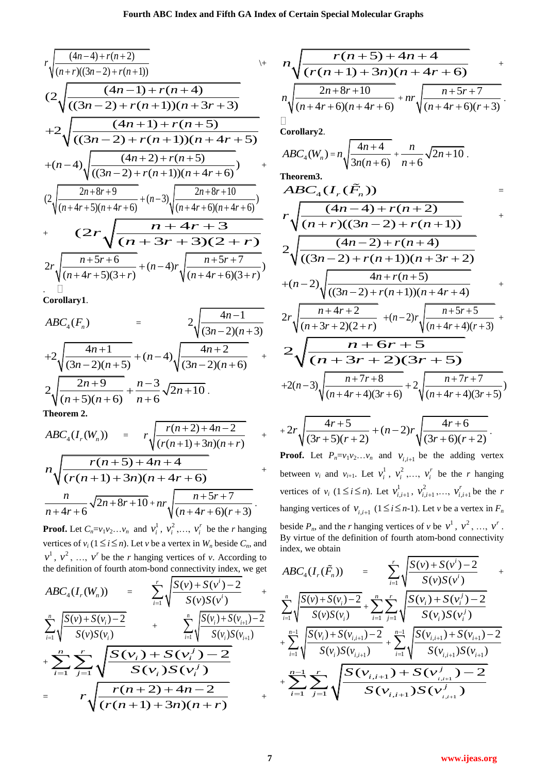$$
r\sqrt{\frac{(4n-4)+r(n+2)}{(n+r)((3n-2)+r(n+1))}}
$$
  
\n
$$
(2\sqrt{\frac{(4n-1)+r(n+4)}{((3n-2)+r(n+1))(n+3r+3)}}
$$
  
\n
$$
+2\sqrt{\frac{(4n+1)+r(n+5)}{((3n-2)+r(n+1))(n+4r+5)}}
$$
  
\n
$$
+(n-4)\sqrt{\frac{(4n+2)+r(n+5)}{((3n-2)+r(n+1))(n+4r+6)}}
$$
  
\n
$$
(2\sqrt{\frac{2n+8r+9}{(n+4r+5)(n+4r+6)}+(n-3)\sqrt{\frac{2n+8r+10}{(n+4r+6)(n+4r+6)}}}
$$
  
\n
$$
+ \frac{2r\sqrt{\frac{n+5r+6}{(n+4r+5)(3+r)}}+(n-4)\sqrt{\frac{n+5r+7}{(n+4r+6)(3+r)}}
$$
  
\n
$$
= \frac{2r\sqrt{\frac{n+5r+6}{(n+4r+5)(3+r)}}+(n-4)r\sqrt{\frac{n+5r+7}{(n+4r+6)(3+r)}}}
$$

**Corollary1**.

$$
ABC_{4}(F_{n}) = 2\sqrt{\frac{4n-1}{(3n-2)(n+3)}}
$$
  
+2\sqrt{\frac{4n+1}{(3n-2)(n+5)}} + (n-4)\sqrt{\frac{4n+2}{(3n-2)(n+6)}} +  
2\sqrt{\frac{2n+9}{(n+5)(n+6)}} + \frac{n-3}{n+6}\sqrt{2n+10}.

**Theorem 2.**

$$
ABC_{4}(I_{r}(W_{n})) = r\sqrt{\frac{r(n+2)+4n-2}{(r(n+1)+3n)(n+r)}} +
$$
  

$$
n\sqrt{\frac{r(n+5)+4n+4}{(r(n+1)+3n)(n+4r+6)}} +
$$
  

$$
\frac{n}{n+4r+6}\sqrt{2n+8r+10} + nr\sqrt{\frac{n+5r+7}{(n+4r+6)(r+3)}}.
$$

**Proof.** Let  $C_n = v_1 v_2 \dots v_n$  and  $v_i^1$  $v_i^1, v_i^2$  $v_i^2$ ,...,  $v_i^r$  $v_i^r$  be the *r* hanging vertices of  $v_i$  ( $1 \le i \le n$ ). Let *v* be a vertex in  $W_n$  beside  $C_n$ , and  $v^1$ ,  $v^2$ , ...,  $v^r$  be the *r* hanging vertices of *v*. According to the definition of fourth atom-bond connectivity index, we get

$$
ABC_{4}(I_{r}(W_{n})) = \sum_{i=1}^{r} \sqrt{\frac{S(v) + S(v^{i}) - 2}{S(v)S(v^{i})}} + \sum_{i=1}^{n} \sqrt{\frac{S(v) + S(v_{i}) - 2}{S(v)S(v^{i})}} + \sum_{i=1}^{n} \sqrt{\frac{S(v_{i}) + S(v_{i+1}) - 2}{S(v_{i})S(v_{i+1})}} + \sum_{i=1}^{n} \sum_{j=1}^{r} \sqrt{\frac{S(v_{i}) + S(v^{j}_{j}) - 2}{S(v_{i})S(v^{j})}} - \sum_{i=1}^{n} \sqrt{\frac{S(v_{i}) + S(v^{j}_{i}) - 2}{S(v_{i})S(v^{j})}} + \sum_{i=1}^{n} \sqrt{\frac{r(n+2) + 4n - 2}{(r(n+1) + 3n)(n + r)}} + \sum_{i=1}^{n} \sqrt{\frac{r(n+2) + 4n - 2}{(r(n+1) + 3n)(n + r)}} + \sum_{i=1}^{n} \sqrt{\frac{r(n+2) + 4n - 2}{(r(n+1) + 3n)(n + r)}} + \sum_{i=1}^{n} \sqrt{\frac{r(n+2) + 4n - 2}{(r(n+1) + 3n)(n + r)}} + \sum_{i=1}^{n} \sqrt{\frac{r(n+2) + 4n - 2}{(r(n+1) + 3n)(n + r)}} + \sum_{i=1}^{n} \sqrt{\frac{r(n+2) + 4n - 2}{(r(n+1) + 3n)(n + r)}} + \sum_{i=1}^{n} \sqrt{\frac{r(n+1) + 3n}{(r(n+1) + 3n)(n + r)}} + \sum_{i=1}^{n} \sqrt{\frac{r(n+1) + 3n}{(r(n+1) + 3n)(n + r)}} + \sum_{i=1}^{n} \sqrt{\frac{r(n+2) + 4n - 2}{(r(n+1) + 3n)(n + r)}} + \sum_{i=1}^{n} \sqrt{\frac{r(n+2) + 4n - 2}{(r(n+1) + 3n)(n + r)}} + \sum_{i=1}^{n} \sqrt{\frac{r(n+2) + 3n - 2}{(r(n+1) + 3n)(n + r)}} + \sum_{i=1}^{n} \sqrt{\frac{r(n+2) + 3n - 2}{(r(n+1) + 3n)(n + r)}} + \sum_{i
$$

$$
n \sqrt{\frac{r(n+5) + 4n + 4}{(r(n+1) + 3n)(n + 4r + 6)}} +
$$
  

$$
n \sqrt{\frac{2n + 8r + 10}{(n + 4r + 6)(n + 4r + 6)}} + nr \sqrt{\frac{n + 5r + 7}{(n + 4r + 6)(r + 3)}}
$$
  
Corollary2.

.

+

+

+

$$
ABC_{4}(W_{n}) = n \sqrt{\frac{4n+4}{3n(n+6)}} + \frac{n}{n+6} \sqrt{2n+10}
$$
\n
$$
ABC_{4}(I_{r}(\tilde{F}_{n})) = r \sqrt{\frac{(4n-4) + r(n+2)}{(n+r)((3n-2) + r(n+1))}}
$$
\n
$$
2 \sqrt{\frac{(4n-2) + r(n+4)}{((3n-2) + r(n+1))(n+3r+2)}}
$$
\n
$$
+(n-2) \sqrt{\frac{4n+r(n+5)}{((3n-2) + r(n+1))(n+4r+4)}}
$$
\n
$$
2r \sqrt{\frac{n+4r+2}{(n+3r+2)(2+r)}} + (n-2)r \sqrt{\frac{n+5r+5}{(n+4r+4)(r+3)}}
$$

$$
\sqrt{(n+3r+2)(2+r)} \sqrt{(n+4r+4)(r+3)}
$$
  
\n
$$
2\sqrt{\frac{n+6r+5}{(n+3r+2)(3r+5)}}
$$
  
\n+2(n-3) $\sqrt{\frac{n+7r+8}{(n+4r+4)(3r+6)}}+2\sqrt{\frac{n+7r+7}{(n+4r+4)(3r+5)}}$ 

+2r 
$$
\sqrt{(3r+5)(r+2)}
$$
 +  $(n-2)r \sqrt{(3r+6)(r+2)}$ .  
\n**Proof.** Let  $P_n=v_1v_2...v_n$  and  $v_{i,i+1}$  be the adding vertex  
\nbetween  $v_i$  and  $v_{i+1}$ . Let  $v_i^1$ ,  $v_i^2$ , ...,  $v_i^r$  be the r hanging  
\nvertices of  $v_i$  ( $1 \le i \le n$ ). Let  $v_{i,i+1}^1$ ,  $v_{i,i+1}^2$ , ...,  $v_{i,i+1}^r$  be the r  
\nhanging vertices of  $v_{i,i+1}$  ( $1 \le i \le n-1$ ). Let v be a vertex in  $F_n$   
\nbeside  $P_n$ , and the r hanging vertices of v be  $v^1$ ,  $v^2$ , ...,  $v^r$ .  
\nBy virtue of the definition of fourth atom-bond connectivity  
\nindex, we obtain

$$
ABC_{4}(I_{r}(\tilde{F}_{n})) = \sum_{i=1}^{r} \sqrt{\frac{S(v) + S(v^{i}) - 2}{S(v)S(v^{i})}} + \sum_{i=1}^{n} \sqrt{\frac{S(v) + S(v^{i}) - 2}{S(v)S(v^{i})}} + \sum_{i=1}^{n} \sqrt{\frac{S(v_{i}) + S(v^{i}) - 2}{S(v_{i})S(v^{i})}} + \sum_{i=1}^{n-1} \sqrt{\frac{S(v_{i}) + S(v_{i,i+1}) - 2}{S(v_{i})S(v_{i+1})}} + \sum_{i=1}^{n-1} \sqrt{\frac{S(v_{i,i+1}) + S(v_{i+1}) - 2}{S(v_{i,i+1})S(v_{i+1})}} + \sum_{i=1}^{n-1} \sum_{j=1}^{r} \sqrt{\frac{S(v_{i,i+1}) + S(v^{j}_{i,i+1}) - 2}{S(v_{i,i+1})S(v^{j}_{i,i+1})}}
$$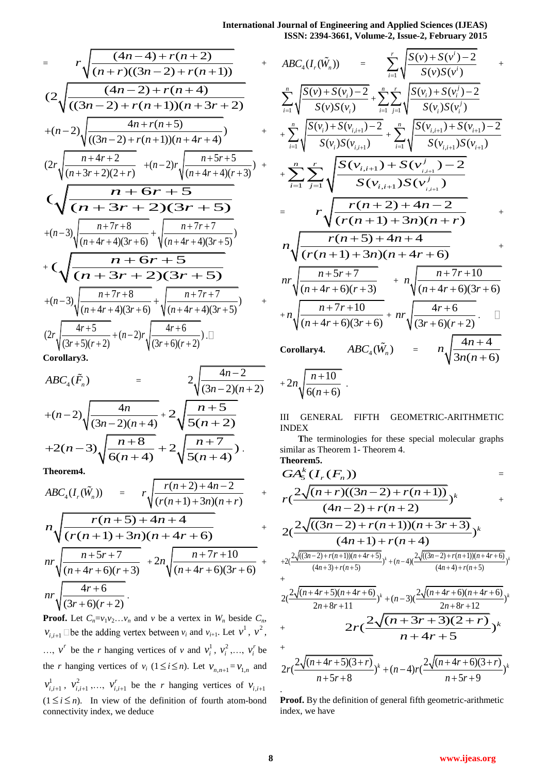**International Journal of Engineering and Applied Sciences (IJEAS) ISSN: 2394-3661, Volume-2, Issue-2, February 2015** 

$$
= r \sqrt{\frac{(4n-4) + r(n+2)}{(n+r)((3n-2) + r(n+1))}}
$$
  
\n
$$
(2 \sqrt{\frac{(4n-2) + r(n+1)}{((3n-2) + r(n+1))(n+3r+2)}}
$$
  
\n
$$
+(n-2) \sqrt{\frac{4n+r(n+5)}{((3n-2) + r(n+1))(n+4r+4)}}
$$
  
\n
$$
(2r \sqrt{\frac{n+4r+2}{(n+3r+2)(2+r)}} + (n-2)r \sqrt{\frac{n+5r+5}{(n+4r+4)(r+3)}}
$$
  
\n
$$
\sqrt{\frac{n+6r+5}{(n+3r+2)(3r+5)}}
$$
  
\n
$$
+(n-3) \sqrt{\frac{n+7r+8}{(n+4r+4)(3r+6)}} + \sqrt{\frac{n+7r+7}{(n+4r+4)(3r+5)}}
$$
  
\n+
$$
\sqrt{\frac{n+6r+5}{(n+3r+2)(3r+5)}}
$$
  
\n
$$
+(n-3) \sqrt{\frac{n+7r+8}{(n+4r+4)(3r+6)}} + \sqrt{\frac{n+7r+7}{(n+4r+4)(3r+5)}}
$$
  
\n
$$
(2r \sqrt{\frac{4r+5}{(3r+5)(r+2)}} + (n-2)r \sqrt{\frac{4r+6}{(3r+6)(r+2)}})
$$

**Corollary3.** 

$$
ABC_{4}(\tilde{F}_{n}) = 2\sqrt{\frac{4n-2}{(3n-2)(n+2)}}
$$
  
+ $(n-2)\sqrt{\frac{4n}{(3n-2)(n+4)}} + 2\sqrt{\frac{n+5}{5(n+2)}}$   
+ $2(n-3)\sqrt{\frac{n+8}{6(n+4)}} + 2\sqrt{\frac{n+7}{5(n+4)}}$ .

**Theorem4.** 

$$
ABC_{4}(I_{r}(\tilde{W}_{n})) = r\sqrt{\frac{r(n+2)+4n-2}{(r(n+1)+3n)(n+r)}} +
$$
  
\n
$$
n\sqrt{\frac{r(n+5)+4n+4}{(r(n+1)+3n)(n+4r+6)}} +
$$
  
\n
$$
nr\sqrt{\frac{n+5r+7}{(n+4r+6)(r+3)}} + 2n\sqrt{\frac{n+7r+10}{(n+4r+6)(3r+6)}} +
$$
  
\n
$$
nr\sqrt{\frac{4r+6}{(3r+6)(r+2)}}.
$$

**Proof.** Let  $C_n = v_1 v_2 \dots v_n$  and  $v$  be a vertex in  $W_n$  beside  $C_n$ ,  $v_{i,i+1}$  De the adding vertex between  $v_i$  and  $v_{i+1}$ . Let  $v^1$ ,  $v^2$ , ...,  $v^r$  be the *r* hanging vertices of *v* and  $v_i^1$  $v_i^1$ ,  $v_i^2$  $v_i^2$ ,...,  $v_i^r$  $v_i^r$  be the *r* hanging vertices of  $v_i$  ( $1 \le i \le n$ ). Let  $v_{n,n+1} = v_{1,n}$  and  $v_{i,i+1}^1$ ,  $v_{i,i+1}^2$ , ...,  $v_{i,i+1}^r$  $v_{i,i+1}^r$  be the *r* hanging vertices of  $v_{i,i+1}$  $(1 \le i \le n)$ . In view of the definition of fourth atom-bond connectivity index, we deduce

$$
ABC_{4}(I_{r}(\tilde{W}_{n})) = \sum_{i=1}^{r} \sqrt{\frac{S(v) + S(v^{i}) - 2}{S(v)S(v^{i})}} + \sum_{i=1}^{n} \sqrt{\frac{S(v_{i}) + S(v^{i}) - 2}{S(v)S(v_{i})}} + \sum_{i=1}^{n} \sqrt{\frac{S(v_{i}) + S(v^{i}) - 2}{S(v_{i})S(v^{i})}} + \sum_{i=1}^{n} \sqrt{\frac{S(v_{i}) + S(v_{i}) - 2}{S(v_{i})S(v^{i})}} + \sum_{i=1}^{n} \sqrt{\frac{S(v_{i,i+1}) + S(v_{i+1}) - 2}{S(v_{i,i+1})S(v_{i+1})}} + \sum_{i=1}^{n} \sum_{j=1}^{r} \sqrt{\frac{S(v_{i,i+1}) + S(v^{j}_{i,i+1}) - 2}{S(v_{i,i+1})S(v^{j}_{i})}} + \sum_{i=1}^{n} \sqrt{\frac{r(n+2) + 4n - 2}{r(n+1) + 3n(n+1) + 3n(n+1) + 3n(n+1) + 3n(n+2) + 3n(n+4) + 3n(n+4) + 3n(n+4) + 3n(n+4) + 3n(n+4) + 3n(n+4) + 3n(n+4) + 3n(n+4) + 3n(n+4) + 3n(n+4) + 3n(n+4) + 3n(n+4) + 3n(n+4) + 3n(n+4) + 3n(n+4) + 3n(n+4) + 3n(n+4) + 3n(n+4) + 3n(n+4) + 3n(n+4) + 3n(n+4) + 3n(n+4) + 3n(n+4) + 3n(n+4) + 3n(n+4) + 3n(n+4) + 3n(n+4) + 3n(n+4) + 3n(n+4) + 3n(n+4) + 3n(n+4) + 3n(n+4) + 3n(n+4) + 3n(n+4) + 3n(n+4) + 3n(n+4) + 3n(n+4) + 3n(n+4) + 3n(n+4) + 3n(n+4) + 3n(n+4) + 3n(n+4) + 3n(n+4) + 3n(n+4) + 3n(n+4) + 3n(n+4) + 3n(n+4) + 3n(n+4) + 3n(n+4) + 3n(n+
$$

III GENERAL FIFTH GEOMETRIC-ARITHMETIC INDEX

**T**he terminologies for these special molecular graphs similar as Theorem 1- Theorem 4. **Theorem5.**

$$
GA_{5}^{k}(I_{r}(F_{n})) =
$$
\n
$$
r\left(\frac{2\sqrt{(n+r)((3n-2)+r(n+1))}}{(4n-2)+r(n+2)})^{k} + \frac{(4n-2)+r(n+1)(n+3r+3)}{(4n+1)+r(n+4)})^{k}
$$
\n
$$
+2\left(\frac{2\sqrt{((3n-2)+r(n+1))(n+4r+5)}}{(4n+3)+r(n+5)})^{k} + (n-4)\left(\frac{2\sqrt{((3n-2)+r(n+1))(n+4r+6)}}{(4n+4)+r(n+5)})^{k} + \frac{2\left(\frac{2\sqrt{(n+4r+5)(n+4r+6)}}{(2n+8r+11})\right)^{k} + (n-3)\left(\frac{2\sqrt{(n+4r+6)(n+4r+6)}}{2n+8r+12}\right)^{k}}{n+4r+5}
$$
\n+
$$
2r\left(\frac{2\sqrt{(n+3r+3)(2+r)}}{n+4r+5}\right)^{k} + (n-4)r\left(\frac{2\sqrt{(n+4r+6)(3+r)}}{n+5r+9}\right)^{k}
$$

**Proof.** By the definition of general fifth geometric-arithmetic index, we have

.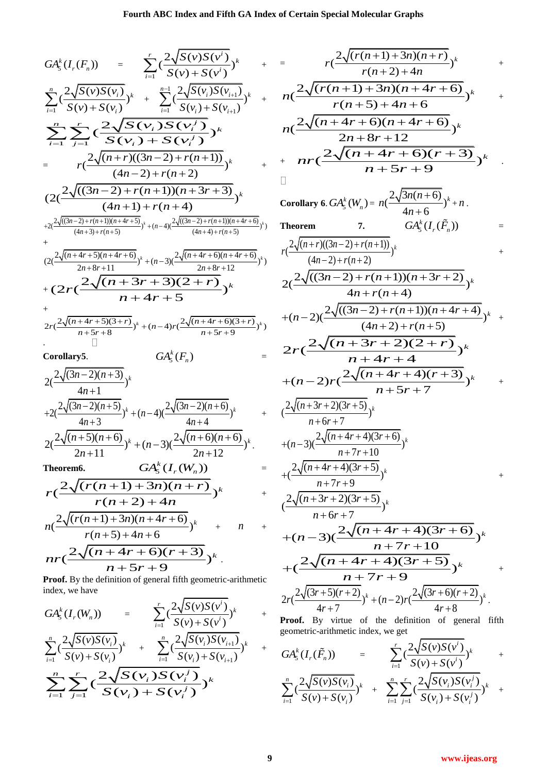$$
GA_{S}^{k}(f, (F_{n})) = \sum_{r=1}^{r} \frac{c^{2}\sqrt{S(r)S(r^{j})}}{s^{2}(r^{2})(s^{2}+S(r^{2}))^{k}} + \sum_{r=1}^{r} \frac{c^{2}\sqrt{(r(n+1)+3n)(n+r)}}{s^{2}(r^{2}(r^{2}+4r+6)} + \sum_{r=1}^{r} \frac{c^{2}\sqrt{S(r)S(r^{2})}}{s^{2}(r^{2}+S(r^{2})})^{k}} + \frac{n(c^{2}\sqrt{(r(n+1)+3n)(n+4+r)} - \sum_{r=1}^{r} \frac{c^{2}\sqrt{S(r)S(r^{2})}}{s^{2}(r^{2}+S(r^{2})})^{k}} + \frac{n(c^{2}\sqrt{(r(n+1)+3n)(n+4+r)} - \sum_{r=1}^{r} \frac{c^{2}\sqrt{S(r)S(r^{2})}}{s^{2}(r^{2}+S(r^{2})})^{k}} + \frac{n(c^{2}\sqrt{(r+4r+6)(n+4r+6)})^{k}}{r^{2}(r+4r+6)(n+4r+6)})^{k}} + \frac{n(c^{2}\sqrt{(n+4r+6)(n+4r+6)})^{k}}{r^{2}(r+4r+6)(n+4r+6)})^{k}} + \frac{n(c^{2}\sqrt{(n+4r+6)(n+4r+6)})^{k}}{r^{2}(r^{2}(r^{2}+8r+10))^{k}} + \frac{n(c^{2}\sqrt{(n+4r+6)(n+4r+6)})^{k}}{r^{2}(r^{2}+8r+12)})^{k}} + \frac{n(c^{2}\sqrt{(n+4r+6)(n+4r+6)})^{k}}{s^{2}(r^{2}+8r+12)})^{k}} + \frac{n(c^{2}\sqrt{(n+4r+6)(n+4r+6)})^{k}}{s^{2}(r^{2}+8r+12)})^{k}} + \frac{n(c^{2}\sqrt{(n+4r+6)(n+4r+6)})^{k}}{s^{2}(r^{2}+8r+12)})^{k}} + \frac{n(c^{2}\sqrt{(n+4r+6)(n+4r+6)})^{k}}{s^{2}(r^{2}+8r+12)})^{k}} + \frac{n(c^{2}\sqrt{(n+4r+6)(n+4r+6)})^{k}}{s^{2}(r^{2}+8r+12)})^{k}} + \frac{n(c^{2}\sqrt{(n+4r+6)(n+4r+6)})^{k}}{s
$$

**Proof.** By the definition of general fifth geometric-arithmetic index, we have

$$
GA_{5}^{k}(I_{r}(W_{n})) = \sum_{i=1}^{r} \left(\frac{2\sqrt{S(v)S(v^{i})}}{S(v) + S(v^{i})}\right)^{k} + \sum_{i=1}^{n} \left(\frac{2\sqrt{S(v)S(v_{i})}}{S(v) + S(v_{i})}\right)^{k} + \sum_{i=1}^{n} \left(\frac{2\sqrt{S(v_{i})S(v_{i+1})}}{S(v_{i}) + S(v_{i+1})}\right)^{k} + \sum_{i=1}^{n} \sum_{j=1}^{r} \left(\frac{2\sqrt{S(v_{i})S(v_{i}^{j})}}{S(v_{i}) + S(v_{i}^{j})}\right)^{k}
$$

$$
= r\left(\frac{2\sqrt{(r(n+1)+3n)(n+r)}}{r(n+2)+4n}\right)^{k} + n\left(\frac{2\sqrt{(r(n+1)+3n)(n+4r+6)}}{r(n+5)+4n+6}\right)^{k} + n\left(\frac{2\sqrt{(n+4r+6)(n+4r+6)}}{2n+8r+12}\right)^{k} + nr\left(\frac{2\sqrt{(n+4r+6)(r+3)}}{n+5r+9}\right)^{k} + n\left(\frac{2\sqrt{(n+4r+6)(r+3)}}{n+5r+9}\right)^{k}
$$

Corollary 6. 
$$
GA_5^k(W_n) = n\left(\frac{2\sqrt{3n(n+6)}}{4n+6}\right)^k + n
$$
.  
\nTheorem 7.  $GA_5^k(I_r(\tilde{F}_n)) = r\left(\frac{2\sqrt{(n+r)((3n-2)+r(n+1))}}{(4n-2)+r(n+2)}\right)^k + \frac{(4n-2)+r(n+1)(n+3r+2)}{(4n+r(n+4)} + (n-2)\left(\frac{2\sqrt{((3n-2)+r(n+1))(n+4r+4)}}{(4n+2)+r(n+5)}\right)^k + (n-2)\left(\frac{2\sqrt{(n+3r+2)(2+r)}}{n+4r+4}\right)^k + (n-2)r\left(\frac{2\sqrt{(n+4r+4)(r+3)}}{n+5r+7}\right)^k + (n-2)r\left(\frac{2\sqrt{(n+4r+4)(3r+6)}}{n+5r+7}\right)^k + (n-3)\left(\frac{2\sqrt{(n+4r+4)(3r+6)}}{n+7r+10}\right)^k + \left(\frac{2\sqrt{(n+4r+4)(3r+5)}}{n+6r+7}\right)^k + (n-3)\left(\frac{2\sqrt{(n+4r+4)(3r+5)}}{n+6r+7}\right)^k + (n-3)\left(\frac{2\sqrt{(n+4r+4)(3r+5)}}{n+7r+10}\right)^k + \left(\frac{2\sqrt{(n+4r+4)(3r+5)}}{n+7r+9}\right)^k + (n-2)r\left(\frac{2\sqrt{(3r+6)(r+2)}}{4r+7}\right)^k + (n-2)r\left(\frac{2\sqrt{(3r+6)(r+2)}}{4r+8}\right)^k$ .  
\nProof. By virtue of the definition of general fifth

geometric-arithmetic index, we get

$$
GA_{5}^{k}(I_{r}(\tilde{F}_{n})) = \sum_{i=1}^{r} \left(\frac{2\sqrt{S(v)S(v^{i})}}{S(v) + S(v^{i})}\right)^{k} + \sum_{i=1}^{n} \left(\frac{2\sqrt{S(v)S(v_{i})}}{S(v) + S(v_{i})}\right)^{k} + \sum_{i=1}^{n} \sum_{j=1}^{r} \left(\frac{2\sqrt{S(v_{i})S(v^{j})}}{S(v_{i}) + S(v^{j}_{i})}\right)^{k} + \sum_{i=1}^{n} \left(\frac{2\sqrt{S(v_{i})S(v^{j})}}{S(v) + S(v^{j}_{i})}\right)^{k}
$$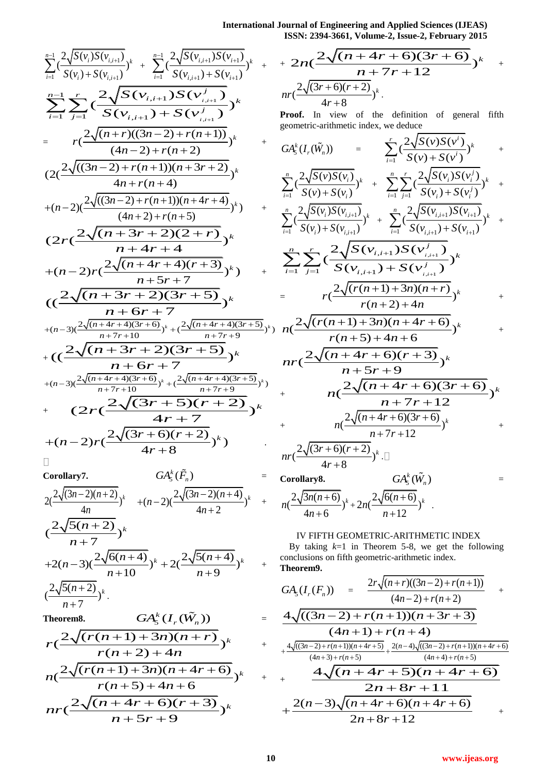**International Journal of Engineering and Applied Sciences (IJEAS)**

$$
\sum_{i=1}^{n-1} \frac{2\sqrt{S(v_i)S(v_{i,i+1})}}{S(v_i)+S(v_{i,i+1})} + \sum_{i=1}^{n-1} \frac{2\sqrt{S(v_{i,i+1})S(v_{i+1})}}{S(v_{i,i+1})} + \sum_{i=1}^{n-1} \frac{r}{S(v_{i,i+1})S(v_{i,i+1})} + \sum_{i=1}^{n-1} \frac{2\sqrt{S(v_{i,i+1})S(v_{i,i+1})}}{S(v_{i,i+1})} - \sum_{i=1}^{n-1} \frac{r}{S(v_{i,i+1})S(v_{i,i+1})} + \sum_{i=1}^{n-1} \frac{2\sqrt{(n+r)((3n-2)+r(n+1))}}{(4n-2)+r(n+2)})^k + \sum_{i=1}^{n-1} \frac{2\sqrt{((3n-2)+r(n+1))(n+3r+2)}}{4n+r(n+4)})^k + (n-2)(\frac{2\sqrt{((3n-2)+r(n+1))(n+4r+4)}}{(4n+2)+r(n+5)})^k + \sum_{i=1}^{n-1} \frac{2\sqrt{(n+3r+2)(2+r)}}{n+4r+4} + (n-2)r(\frac{2\sqrt{(n+4r+4)(r+3)}}{n+5r+7})^k + \sum_{i=1}^{n-1} \frac{2\sqrt{(n+4r+4)(3r+6)}}{n+5r+7} + (n-3)(\frac{2\sqrt{(n+4r+4)(3r+6)}}{n+7r+10})^k + (\frac{2\sqrt{(n+4r+4)(3r+5)}}{n+7r+10})^k + \sum_{i=1}^{n-1} \frac{2\sqrt{(n+4r+4)(3r+6)}}{n+7r+9} + \sum_{i=1}^{n-1} \frac{2\sqrt{(3r+5)(r+2)}}{n+7r+10})^k + \sum_{i=1}^{n-1} \frac{2\sqrt{(3r+5)(r+2)}}{n+7r+9} + \sum_{i=1}^{n-1} \frac{2\sqrt{(3r+5)(r+2)}}{n+7r+9}^k + (2r(\frac{2\sqrt{(3r+6)(r+2)}{n+7})^k})^k + (n-2)r(\frac{2\sqrt{(3r+6)(r+2)}{4r+8})^k} + \sum_{i=1}^{n-1} \frac{
$$

$$
\Box\quad
$$

Corollary7.  
\n
$$
GA_{5}^{k}(\tilde{F}_{n}) =
$$
\n
$$
2\left(\frac{2\sqrt{(3n-2)(n+2)}}{4n}\right)^{k} + (n-2)\left(\frac{2\sqrt{(3n-2)(n+4)}}{4n+2}\right)^{k} + \left(\frac{2\sqrt{5(n+2)}}{n+7}\right)^{k}
$$
\n
$$
+2(n-3)\left(\frac{2\sqrt{6(n+4)}}{n+10}\right)^{k} + 2\left(\frac{2\sqrt{5(n+4)}}{n+9}\right)^{k} + \left(\frac{2\sqrt{5(n+2)}}{n+7}\right)^{k}.
$$

Theorem 8. 
$$
GA_{5}^{k}(I_{r}(\tilde{W}_{n})) =
$$
  
\n
$$
r\left(\frac{2\sqrt{(r(n+1)+3n)(n+r)}}{r(n+2)+4n}\right)^{k} +
$$
  
\n
$$
n\left(\frac{2\sqrt{(r(n+1)+3n)(n+4r+6)}}{r(n+5)+4n+6}\right)^{k} +
$$
  
\n
$$
nr\left(\frac{2\sqrt{(n+4r+6)(r+3)}}{n+5r+9}\right)^{k}
$$

ISSN: 2394-3661, Volume-2, Issue-2, February 2015  
+ 
$$
2n(\frac{2\sqrt{(n+4r+6)(3r+6)}}{n+7r+12})^k
$$
 +  
 $nr(\frac{2\sqrt{(3r+6)(r+2)}}{4r+8})^k$ .

Proof. In view of the definition of general fifth geometric-arithmetic index, we deduce

$$
GA_{s}^{k}(I_{r}(\tilde{W}_{n})) = \sum_{i=1}^{r} \left(\frac{2\sqrt{S(v)S(v^{i})}}{S(v)+S(v^{i})}\right)^{k} + \sum_{i=1}^{n} \sum_{j=1}^{r} \left(\frac{2\sqrt{S(v_{i})S(v^{i})}}{S(v_{i})+S(v^{i})}\right)^{k} + \sum_{i=1}^{n} \sum_{j=1}^{r} \left(\frac{2\sqrt{S(v_{i})S(v^{i})}}{S(v_{i})+S(v^{i})}\right)^{k} + \sum_{i=1}^{n} \sum_{j=1}^{r} \left(\frac{2\sqrt{S(v_{i})S(v_{i})}}{S(v_{i})+S(v_{i})}\right)^{k} + \sum_{i=1}^{n} \frac{2\sqrt{S(v_{i,i+1})S(v_{i+1})}}{S(v_{i,i+1})+S(v_{i+1})}^{k} + \sum_{i=1}^{n} \sum_{j=1}^{r} \left(\frac{2\sqrt{S(v_{i,i+1})S(v^{j})}}{S(v_{i,i+1})+S(v^{j})}\right)^{k} + \sum_{r(n+2)+4n} \frac{2\sqrt{(r(n+1)+3n)(n+r)}}{r(n+2)+4n}^{k} + \frac{r(n+5)+4n+6}{r(n+5)+4n+6}^{k} + \frac{r(n+5)+4n+6}{r(n+5)+4n+6}^{k} + \frac{r(n+5)+4n+6}{r(n+5)+4n+6}^{k} + \frac{r(n+5)+4n+6}{r(n+5)+4n+6}^{k} + \frac{r(n+5)+4n+6}{r(n+5)+4n+6}^{k} + \frac{r(n+5)+4n+6}{r(n+5)+4n+6}^{k} + \frac{r(n+5)+4n+6}{r(n+5)+4n+6}^{k} + \frac{r(n+5)+4n+6}{r(n+5)+4n+6}^{k} + \frac{r(n+5)+4n+6}{r(n+5)+4n+6}^{k} + \frac{r(n+5)+4n+6}{r(n+5)+4n+6}^{k} + \frac{r(n+5)+4n+6}{r(n+5)+4n+6}^{k} + \frac{r(n+5)+4n+6}{r(n+5)+4n+6}^{k} + \frac{r(n+5)+4n+6}{r(n+5)+4n+6}^{k} + \frac{r(n
$$

**Corollary8.**

$$
n(\frac{2\sqrt{3n(n+6)}}{4n+6})^{k}+2n(\frac{2\sqrt{6(n+6)}}{n+12})^{k}.
$$

## IV FIFTH GEOMETRIC-ARITHMETIC INDEX

 $GA_5^k(\tilde{W}_n)$  =

By taking *k*=1 in Theorem 5-8, we get the following conclusions on fifth geometric-arithmetic index. **Theorem9.** 

$$
GA_{5}(I_{r}(F_{n})) = \frac{2r\sqrt{(n+r)((3n-2)+r(n+1))}}{(4n-2)+r(n+2)} + \frac{4\sqrt{((3n-2)+r(n+1))(n+3r+3)}}{(4n+1)+r(n+4)} + \frac{4\sqrt{((3n-2)+r(n+1))(n+4r+5)}}{(4n+3)+r(n+5)} + \frac{2(n-4)\sqrt{((3n-2)+r(n+1))(n+4r+6)}}{(4n+4)+r(n+5)} + \frac{4\sqrt{(n+4r+5)(n+4r+6)}}{2n+8r+11} + \frac{2(n-3)\sqrt{(n+4r+6)(n+4r+6)}}{2n+8r+12} + \frac{2(n-3)\sqrt{(n+4r+6)(n+4r+6)}}{2n+8r+12} + \frac{2(n+3)\sqrt{(n+4r+6)(n+4r+6)}}{2n+8r+12} + \frac{2(n+3)\sqrt{(n+4r+6)(n+4r+6)}}{2n+8r+12} + \frac{2(n+3)\sqrt{(n+4r+6)(n+4r+6)}}{2n+8r+12} + \frac{2(n+3)\sqrt{(n+4r+6)(n+4r+6)}}{2n+8r+12} + \frac{2(n+3)\sqrt{(n+4r+6)(n+4r+6)}}{2n+8r+12} + \frac{2(n+3)\sqrt{(n+4r+6)(n+4r+6)}}{2n+8r+12} + \frac{2(n+3)\sqrt{(n+4r+6)(n+4r+6)}}{2n+8r+12} + \frac{2(n+3)\sqrt{(n+4r+6)(n+4r+6)}}{2n+8r+12}
$$

+

+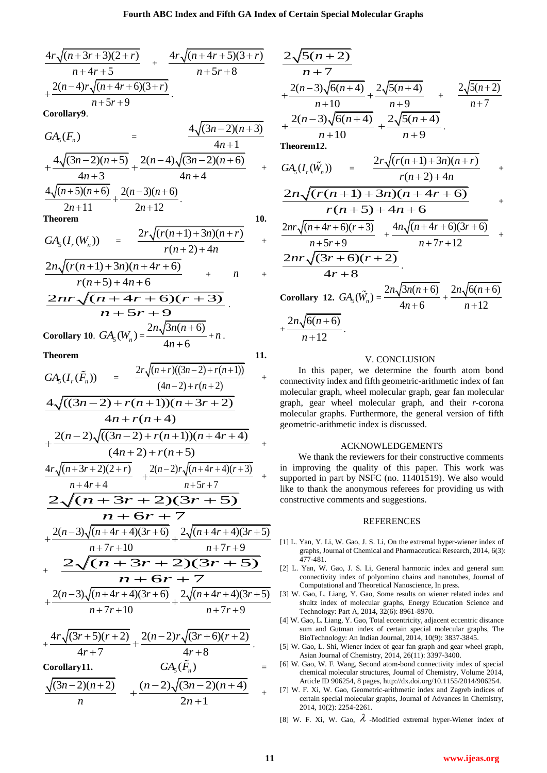$$
\frac{4r\sqrt{(n+3r+3)(2+r)}}{n+4r+5} + \frac{4r\sqrt{(n+4r+5)(3+r)}}{n+5r+8} + \frac{2(n-4)r\sqrt{(n+4r+6)(3+r)}}{n+5r+9}.
$$

**Corollary9**.

$$
GA_{5}(F_{n}) = \frac{4\sqrt{(3n-2)(n+3)}}{4n+1} + \frac{4\sqrt{(3n-2)(n+5)}}{4n+3} + \frac{2(n-4)\sqrt{(3n-2)(n+6)}}{4n+4} + \frac{4\sqrt{(n+5)(n+6)}}{2n+11} + \frac{2(n-3)(n+6)}{2n+12}.
$$

**Theorem 10.** 

$$
GA_{5}(I_{r}(W_{n})) = \frac{2r\sqrt{(r(n+1)+3n)(n+r)}}{r(n+2)+4n} +
$$

$$
\frac{2n\sqrt{(r(n+1)+3n)(n+4r+6)}}{r(n+5)+4n+6} + n +
$$
  

$$
\frac{2nr\sqrt{(n+4r+6)(r+3)}}{2n^2(n+4r+6)(r+3)}
$$

 $4n + 6$ 

$$
\frac{2nr\sqrt{(n+4r+6)(r+3)}}{n+5r+9}.
$$
  
Corollary 10.  $GA_5(W_n) = \frac{2n\sqrt{3n(n+6)}}{4n+6} + n.$ 

**Theorem 11. 11.** 

$$
GA_{5}(I_{r}(\tilde{F}_{n})) = \frac{2r\sqrt{(n+r)((3n-2)+r(n+1))}}{(4n-2)+r(n+2)} + \text{con-} \\
\frac{4\sqrt{((3n-2)+r(n+1))(n+3r+2)}}{4n+r(n+4)} \\
+ \frac{2(n-2)\sqrt{((3n-2)+r(n+1))(n+4r+4)}}{(4n+2)+r(n+5)} + \frac{4r\sqrt{(n+3r+2)(2+r)} + \frac{2(n-2)r\sqrt{(n+4r+4)(r+3)}}{n+5r+7}} + \text{in-} \\
\frac{2\sqrt{(n+3r+2)(2+r)} + \frac{2(n-2)r\sqrt{(n+4r+4)(r+3)}}{n+5r+7}}{n+6r+7} \\
+ \frac{2(n-3)\sqrt{(n+4r+4)(3r+6)}}{n+7r+10} + \frac{2\sqrt{(n+4r+4)(3r+5)}}{n+7r+9}}_{\text{min} + \frac{2(r-3)\sqrt{(n+4r+4)(3r+6)}}{n+7r+10} + \frac{2\sqrt{(n+4r+4)(3r+5)}}{n+7r+9}}_{\text{min} + 7r+10} [3]
$$

$$
\frac{4r\sqrt{(3r+5)(r+2)}}{4r+7} + \frac{2(n-2)r\sqrt{(3r+6)(r+2)}}{4r+8}.
$$

Corollary11. 
$$
GA_{5}(\tilde{F}_{n})
$$

$$
\frac{\sqrt{(3n-2)(n+2)}}{n} + \frac{(n-2)\sqrt{(3n-2)(n+4)}}{2n+1} +
$$

$$
\frac{2\sqrt{5(n+2)}}{n+7} + \frac{2(n-3)\sqrt{6(n+4)}}{n+10} + \frac{2\sqrt{5(n+4)}}{n+9} + \frac{2\sqrt{5(n+2)}}{n+7} + \frac{2(n-3)\sqrt{6(n+4)}}{n+10} + \frac{2\sqrt{5(n+4)}}{n+9} + \frac{2\sqrt{5(n+4)}}{n+9} + \frac{2\sqrt{5(n+4)}}{n+9} + \frac{2n\sqrt{(r(n+1)+3n)(n+r)}}{r(n+2)+4n} + \frac{2n\sqrt{(r(n+1)+3n)(n+4r+6)}}{r(n+5)+4n+6} + \frac{2nr\sqrt{(n+4r+6)(r+3)}}{n+5r+9} + \frac{4n\sqrt{(n+4r+6)(3r+6)}}{n+7r+12} + \frac{2nr\sqrt{(3r+6)(r+2)}}{4r+8} + \frac{2n\sqrt{6(n+6)}}{n+12} + \frac{2n\sqrt{6(n+6)}}{n+12} + \frac{2n\sqrt{6(n+6)}}{n+12} + \frac{2n\sqrt{6(n+6)}}{n+12} + \frac{2n\sqrt{6(n+6)}}{n+12} + \frac{2n\sqrt{6(n+6)}}{n+12} + \frac{2n\sqrt{6(n+6)}}{n+12} + \frac{2n\sqrt{6(n+6)}}{n+12} + \frac{2n\sqrt{6(n+6)}}{n+12} + \frac{2n\sqrt{6(n+6)}}{n+12} + \frac{2n\sqrt{6(n+6)}}{n+12} + \frac{2n\sqrt{6(n+6)}}{n+12} + \frac{2n\sqrt{6(n+6)}}{n+12} + \frac{2n\sqrt{6(n+6)}}{n+12} + \frac{2n\sqrt{6(n+6)}}{n+12} + \frac{2n\sqrt{6(n+6)}}{n+12} + \frac{2n\sqrt{6(n+6)}}{n+12} + \frac{2n\sqrt{6(n+6)}}{n+12} + \frac{2n\sqrt{6(n+6)}}{n+12} + \frac{2n\sqrt{6(n+6)}}{n+12} + \frac{2n\sqrt{6(n+6)}}{n+12} + \frac{2n\sqrt{6(n+6)}}{n+12} + \frac{2n\sqrt{6(n+6)}}{n+12} + \frac
$$

#### V. CONCLUSION

In this paper, we determine the fourth atom bond connectivity index and fifth geometric-arithmetic index of fan molecular graph, wheel molecular graph, gear fan molecular graph, gear wheel molecular graph, and their *r*-corona molecular graphs. Furthermore, the general version of fifth geometric-arithmetic index is discussed.

#### ACKNOWLEDGEMENTS

We thank the reviewers for their constructive comments in improving the quality of this paper. This work was supported in part by NSFC (no. 11401519). We also would like to thank the anonymous referees for providing us with constructive comments and suggestions.

#### **REFERENCES**

- [1] L. Yan, Y. Li, W. Gao, J. S. Li, On the extremal hyper-wiener index of graphs, Journal of Chemical and Pharmaceutical Research, 2014, 6(3): 477-481.
- [2] L. Yan, W. Gao, J. S. Li, General harmonic index and general sum connectivity index of polyomino chains and nanotubes, Journal of Computational and Theoretical Nanoscience, In press.
- [3] W. Gao, L. Liang, Y. Gao, Some results on wiener related index and shultz index of molecular graphs, Energy Education Science and Technology: Part A, 2014, 32(6): 8961-8970.
- [4] W. Gao, L. Liang, Y. Gao, Total eccentricity, adjacent eccentric distance sum and Gutman index of certain special molecular graphs, The BioTechnology: An Indian Journal, 2014, 10(9): 3837-3845.
- [5] W. Gao, L. Shi, Wiener index of gear fan graph and gear wheel graph, Asian Journal of Chemistry, 2014, 26(11): 3397-3400.
- [6] W. Gao, W. F. Wang, Second atom-bond connectivity index of special chemical molecular structures, Journal of Chemistry, Volume 2014, Article ID 906254, 8 pages, http://dx.doi.org/10.1155/2014/906254.
- [7] W. F. Xi, W. Gao, Geometric-arithmetic index and Zagreb indices of certain special molecular graphs, Journal of Advances in Chemistry, 2014, 10(2): 2254-2261.
- [8] W. F. Xi, W. Gao,  $\lambda$  -Modified extremal hyper-Wiener index of

=